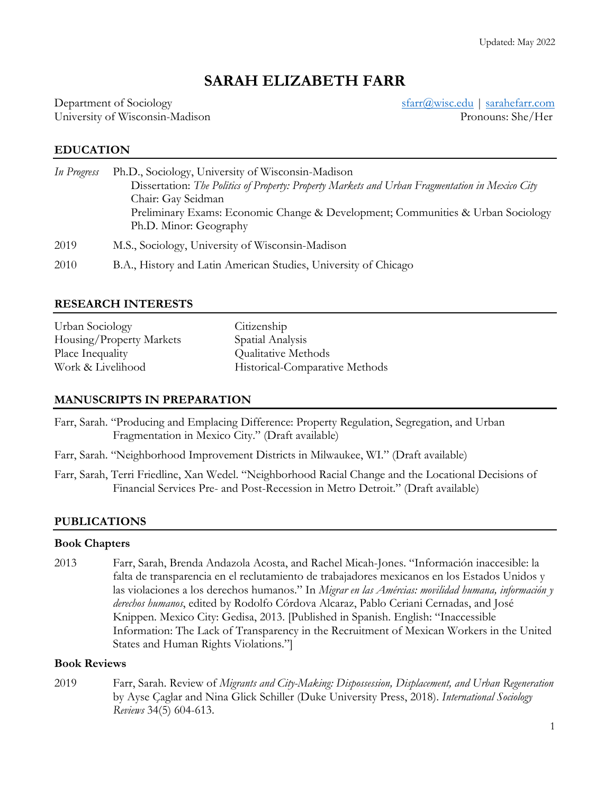# **SARAH ELIZABETH FARR**

Department of Sociology sfarr and start and start and start and start and start and start and start and start and start and start and start and start and start and start and start and start and start and start and start an University of Wisconsin-Madison **Pronouns: She**/Her

# **EDUCATION**

| In Progress | Ph.D., Sociology, University of Wisconsin-Madison                                                         |
|-------------|-----------------------------------------------------------------------------------------------------------|
|             | Dissertation: The Politics of Property: Property Markets and Urban Fragmentation in Mexico City           |
|             | Chair: Gay Seidman                                                                                        |
|             | Preliminary Exams: Economic Change & Development; Communities & Urban Sociology<br>Ph.D. Minor: Geography |
| 2019        | M.S., Sociology, University of Wisconsin-Madison                                                          |
| 2010        | B.A., History and Latin American Studies, University of Chicago                                           |

### **RESEARCH INTERESTS**

| Urban Sociology          | Citizenship                    |
|--------------------------|--------------------------------|
| Housing/Property Markets | Spatial Analysis               |
| Place Inequality         | Qualitative Methods            |
| Work & Livelihood        | Historical-Comparative Methods |

### **MANUSCRIPTS IN PREPARATION**

Farr, Sarah. "Producing and Emplacing Difference: Property Regulation, Segregation, and Urban Fragmentation in Mexico City." (Draft available)

- Farr, Sarah. "Neighborhood Improvement Districts in Milwaukee, WI." (Draft available)
- Farr, Sarah, Terri Friedline, Xan Wedel. "Neighborhood Racial Change and the Locational Decisions of Financial Services Pre- and Post-Recession in Metro Detroit." (Draft available)

### **PUBLICATIONS**

#### **Book Chapters**

2013 Farr, Sarah, Brenda Andazola Acosta, and Rachel Micah-Jones. "Información inaccesible: la falta de transparencia en el reclutamiento de trabajadores mexicanos en los Estados Unidos y las violaciones a los derechos humanos." In *Migrar en las Amércias: movilidad humana, información y derechos humanos*, edited by Rodolfo Córdova Alcaraz, Pablo Ceriani Cernadas, and José Knippen. Mexico City: Gedisa, 2013. [Published in Spanish. English: "Inaccessible Information: The Lack of Transparency in the Recruitment of Mexican Workers in the United States and Human Rights Violations."]

### **Book Reviews**

2019 Farr, Sarah. Review of *Migrants and City-Making: Dispossession, Displacement, and Urban Regeneration* by Ayse Çaglar and Nina Glick Schiller (Duke University Press, 2018). *International Sociology Reviews* 34(5) 604-613.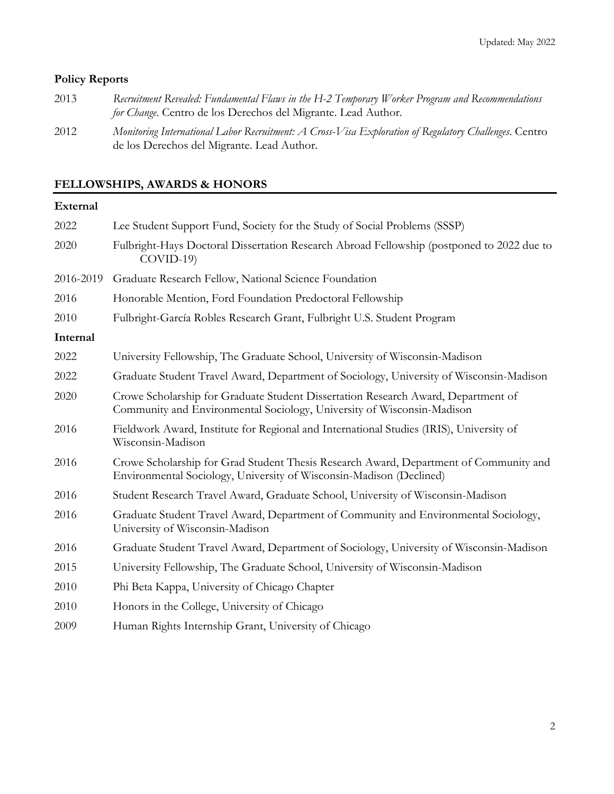# **Policy Reports**

| 2013 | Recruitment Revealed: Fundamental Flaws in the H-2 Temporary Worker Program and Recommendations |
|------|-------------------------------------------------------------------------------------------------|
|      | <i>for Change</i> . Centro de los Derechos del Migrante. Lead Author.                           |
| 2012 | M : I, cHID : ACIMENT COUCO,                                                                    |

2012 *Monitoring International Labor Recruitment: A Cross-Visa Exploration of Regulatory Challenges*. Centro de los Derechos del Migrante. Lead Author.

# **FELLOWSHIPS, AWARDS & HONORS**

# **External**

| 2022      | Lee Student Support Fund, Society for the Study of Social Problems (SSSP)                                                                                    |
|-----------|--------------------------------------------------------------------------------------------------------------------------------------------------------------|
| 2020      | Fulbright-Hays Doctoral Dissertation Research Abroad Fellowship (postponed to 2022 due to<br>$COVID-19$                                                      |
| 2016-2019 | Graduate Research Fellow, National Science Foundation                                                                                                        |
| 2016      | Honorable Mention, Ford Foundation Predoctoral Fellowship                                                                                                    |
| 2010      | Fulbright-García Robles Research Grant, Fulbright U.S. Student Program                                                                                       |
| Internal  |                                                                                                                                                              |
| 2022      | University Fellowship, The Graduate School, University of Wisconsin-Madison                                                                                  |
| 2022      | Graduate Student Travel Award, Department of Sociology, University of Wisconsin-Madison                                                                      |
| 2020      | Crowe Scholarship for Graduate Student Dissertation Research Award, Department of<br>Community and Environmental Sociology, University of Wisconsin-Madison  |
| 2016      | Fieldwork Award, Institute for Regional and International Studies (IRIS), University of<br>Wisconsin-Madison                                                 |
| 2016      | Crowe Scholarship for Grad Student Thesis Research Award, Department of Community and<br>Environmental Sociology, University of Wisconsin-Madison (Declined) |
| 2016      | Student Research Travel Award, Graduate School, University of Wisconsin-Madison                                                                              |
| 2016      | Graduate Student Travel Award, Department of Community and Environmental Sociology,<br>University of Wisconsin-Madison                                       |
| 2016      | Graduate Student Travel Award, Department of Sociology, University of Wisconsin-Madison                                                                      |
| 2015      | University Fellowship, The Graduate School, University of Wisconsin-Madison                                                                                  |
| 2010      | Phi Beta Kappa, University of Chicago Chapter                                                                                                                |
| 2010      | Honors in the College, University of Chicago                                                                                                                 |
| 2009      | Human Rights Internship Grant, University of Chicago                                                                                                         |
|           |                                                                                                                                                              |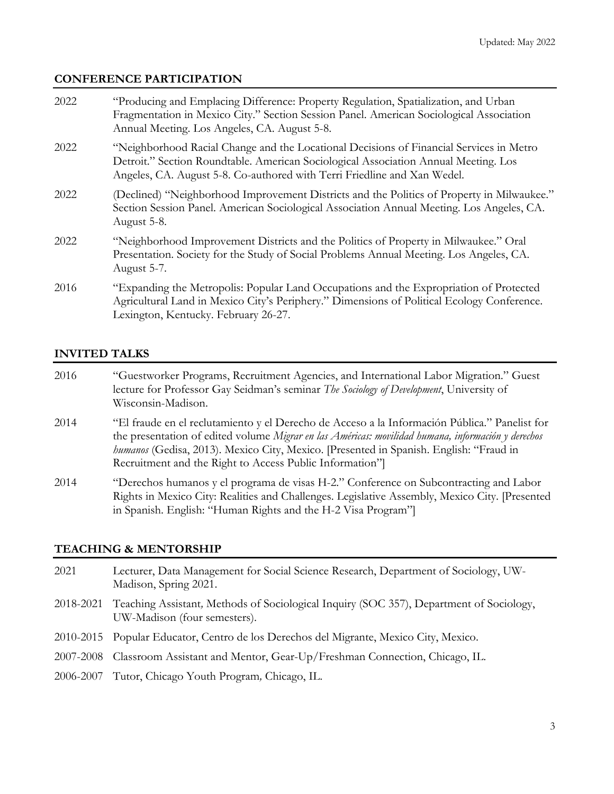### **CONFERENCE PARTICIPATION**

| 2022 | "Producing and Emplacing Difference: Property Regulation, Spatialization, and Urban<br>Fragmentation in Mexico City." Section Session Panel. American Sociological Association<br>Annual Meeting. Los Angeles, CA. August 5-8.                             |
|------|------------------------------------------------------------------------------------------------------------------------------------------------------------------------------------------------------------------------------------------------------------|
| 2022 | "Neighborhood Racial Change and the Locational Decisions of Financial Services in Metro<br>Detroit." Section Roundtable. American Sociological Association Annual Meeting. Los<br>Angeles, CA. August 5-8. Co-authored with Terri Friedline and Xan Wedel. |
| 2022 | (Declined) "Neighborhood Improvement Districts and the Politics of Property in Milwaukee."<br>Section Session Panel. American Sociological Association Annual Meeting. Los Angeles, CA.<br>August 5-8.                                                     |
| 2022 | "Neighborhood Improvement Districts and the Politics of Property in Milwaukee." Oral<br>Presentation. Society for the Study of Social Problems Annual Meeting. Los Angeles, CA.<br>August 5-7.                                                             |
| 2016 | "Expanding the Metropolis: Popular Land Occupations and the Expropriation of Protected<br>Agricultural Land in Mexico City's Periphery." Dimensions of Political Ecology Conference.<br>Lexington, Kentucky. February 26-27.                               |

### **INVITED TALKS**

- 2016 "Guestworker Programs, Recruitment Agencies, and International Labor Migration." Guest lecture for Professor Gay Seidman's seminar *The Sociology of Development*, University of Wisconsin-Madison.
- 2014 "El fraude en el reclutamiento y el Derecho de Acceso a la Información Pública." Panelist for the presentation of edited volume *Migrar en las Américas: movilidad humana, información y derechos humanos* (Gedisa, 2013). Mexico City, Mexico. [Presented in Spanish. English: "Fraud in Recruitment and the Right to Access Public Information"]
- 2014 "Derechos humanos y el programa de visas H-2." Conference on Subcontracting and Labor Rights in Mexico City: Realities and Challenges. Legislative Assembly, Mexico City. [Presented in Spanish. English: "Human Rights and the H-2 Visa Program"]

### **TEACHING & MENTORSHIP**

- 2021 Lecturer, Data Management for Social Science Research, Department of Sociology, UW-Madison, Spring 2021.
- 2018-2021 Teaching Assistant*,* Methods of Sociological Inquiry (SOC 357), Department of Sociology, UW-Madison (four semesters).
- 2010-2015 Popular Educator, Centro de los Derechos del Migrante, Mexico City, Mexico.
- 2007-2008 Classroom Assistant and Mentor, Gear-Up/Freshman Connection, Chicago, IL.
- 2006-2007 Tutor, Chicago Youth Program*,* Chicago, IL.